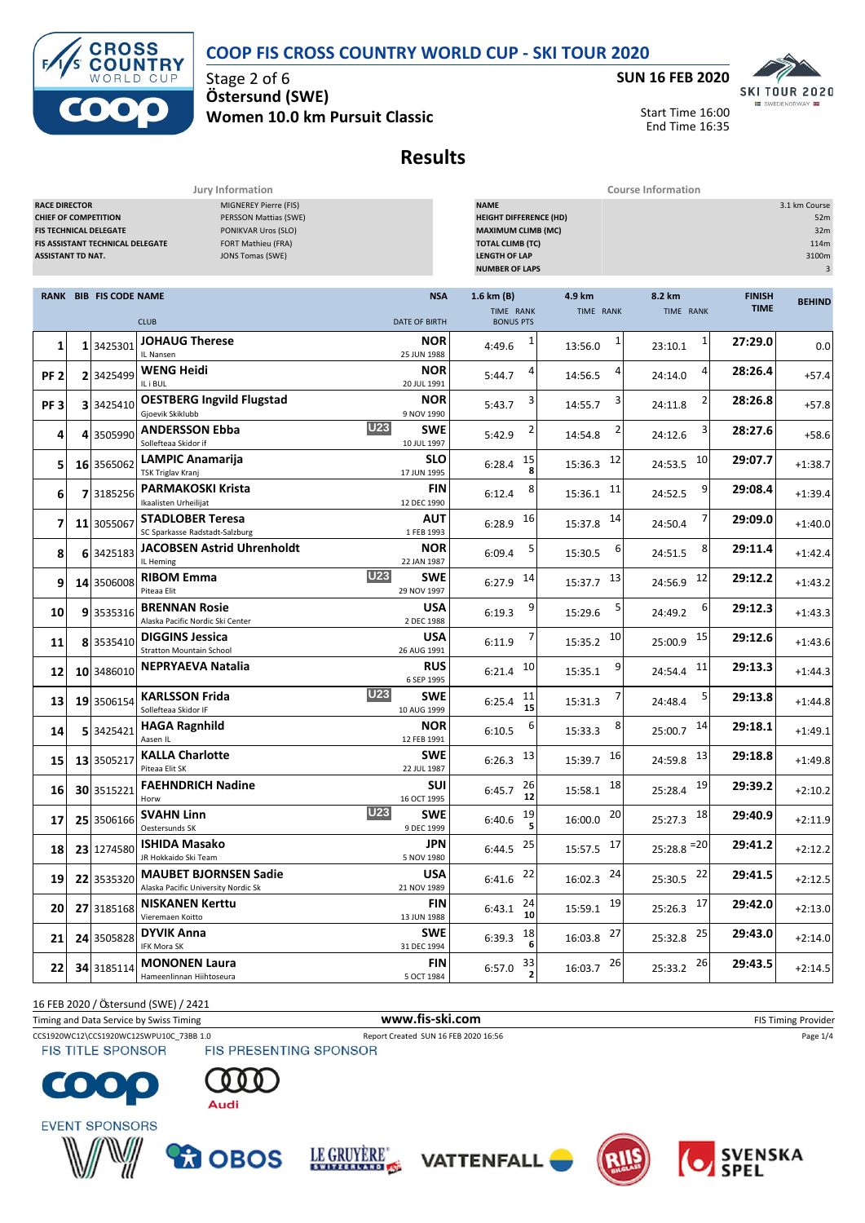#### **COOP FIS CROSS COUNTRY WORLD CUP - SKI TOUR 2020**



Stage 2 of 6 **Ö stersund (SWE) Women 10.0 km Pursuit Classic**



Start Time 16:00 End Time 16:35

## **Results**

**Jury Information Course Information**

| MIGNEREY Pierre (FIS)<br><b>RACE DIRECTOR</b><br>PERSSON Mattias (SWE)<br><b>CHIEF OF COMPETITION</b><br>PONIKVAR Uros (SLO)<br><b>FIS TECHNICAL DELEGATE</b><br>FORT Mathieu (FRA)<br>FIS ASSISTANT TECHNICAL DELEGATE<br><b>ASSISTANT TD NAT.</b><br>JONS Tomas (SWE) |  |                               |                                                                     |                                    | <b>NAME</b><br>3.1 km Course<br><b>HEIGHT DIFFERENCE (HD)</b><br>52m<br><b>MAXIMUM CLIMB (MC)</b><br>32m<br><b>TOTAL CLIMB (TC)</b><br>114m<br><b>LENGTH OF LAP</b><br>3100m<br>$\ensuremath{\mathsf{3}}$<br><b>NUMBER OF LAPS</b> |                         |                          |                              |               |  |
|-------------------------------------------------------------------------------------------------------------------------------------------------------------------------------------------------------------------------------------------------------------------------|--|-------------------------------|---------------------------------------------------------------------|------------------------------------|------------------------------------------------------------------------------------------------------------------------------------------------------------------------------------------------------------------------------------|-------------------------|--------------------------|------------------------------|---------------|--|
|                                                                                                                                                                                                                                                                         |  | <b>RANK BIB FIS CODE NAME</b> | <b>CLUB</b>                                                         | <b>NSA</b><br><b>DATE OF BIRTH</b> | 1.6 km (B)<br>TIME RANK<br><b>BONUS PTS</b>                                                                                                                                                                                        | 4.9 km<br>TIME RANK     | 8.2 km<br>TIME RANK      | <b>FINISH</b><br><b>TIME</b> | <b>BEHIND</b> |  |
| 1                                                                                                                                                                                                                                                                       |  | 1 3425301                     | <b>JOHAUG Therese</b><br>IL Nansen                                  | <b>NOR</b><br>25 JUN 1988          | 1<br>4:49.6                                                                                                                                                                                                                        | 13:56.0                 | 1<br>23:10.1             | 27:29.0                      | 0.0           |  |
| PF <sub>2</sub>                                                                                                                                                                                                                                                         |  | 2 3425499                     | WENG Heidi<br>IL i BUL                                              | <b>NOR</b><br>20 JUL 1991          | 5:44.7                                                                                                                                                                                                                             | 14:56.5                 | 4<br>24:14.0             | 28:26.4                      | $+57.4$       |  |
| PF <sub>3</sub>                                                                                                                                                                                                                                                         |  | 3 3425410                     | <b>OESTBERG Ingvild Flugstad</b><br>Gjoevik Skiklubb                | <b>NOR</b><br>9 NOV 1990           | 3<br>5:43.7                                                                                                                                                                                                                        | 14:55.7                 | 24:11.8                  | 28:26.8                      | $+57.8$       |  |
| 4                                                                                                                                                                                                                                                                       |  | 4 3505990                     | <b>U23</b><br><b>ANDERSSON Ebba</b><br>Sollefteaa Skidor if         | <b>SWE</b><br>10 JUL 1997          | 5:42.9                                                                                                                                                                                                                             | 14:54.8                 | 3<br>24:12.6             | 28:27.6                      | $+58.6$       |  |
| 5                                                                                                                                                                                                                                                                       |  | 16 3565062                    | LAMPIC Anamarija<br>TSK Triglav Kranj                               | <b>SLO</b><br>17 JUN 1995          | 15<br>6:28.4                                                                                                                                                                                                                       | 12<br>15:36.3           | 10<br>24:53.5            | 29:07.7                      | $+1:38.7$     |  |
| 6                                                                                                                                                                                                                                                                       |  | 7 3185256                     | <b>PARMAKOSKI Krista</b><br>Ikaalisten Urheilijat                   | <b>FIN</b><br>12 DEC 1990          | 8<br>6:12.4                                                                                                                                                                                                                        | 11<br>15:36.1           | 9<br>24:52.5             | 29:08.4                      | $+1:39.4$     |  |
| 7                                                                                                                                                                                                                                                                       |  | 11 3055067                    | <b>STADLOBER Teresa</b><br>SC Sparkasse Radstadt-Salzburg           | AUT<br>1 FEB 1993                  | 16<br>6:28.9                                                                                                                                                                                                                       | 14<br>15:37.8           | 24:50.4                  | 29:09.0                      | $+1:40.0$     |  |
| 8                                                                                                                                                                                                                                                                       |  | 6 3425183                     | <b>JACOBSEN Astrid Uhrenholdt</b><br>IL Heming                      | NOR<br>22 JAN 1987                 | 6:09.4                                                                                                                                                                                                                             | 6<br>15:30.5            | 8<br>24:51.5             | 29:11.4                      | $+1:42.4$     |  |
| 9                                                                                                                                                                                                                                                                       |  | 14 3506008                    | <b>U23</b><br><b>RIBOM Emma</b><br>Piteaa Elit                      | <b>SWE</b><br>29 NOV 1997          | 14<br>6:27.9                                                                                                                                                                                                                       | 13<br>15:37.7           | 12<br>24:56.9            | 29:12.2                      | $+1:43.2$     |  |
| 10                                                                                                                                                                                                                                                                      |  | 9 3535316                     | <b>BRENNAN Rosie</b><br>Alaska Pacific Nordic Ski Center            | <b>USA</b><br>2 DEC 1988           | 9<br>6:19.3                                                                                                                                                                                                                        | 15:29.6                 | 6<br>24:49.2             | 29:12.3                      | $+1:43.3$     |  |
| 11                                                                                                                                                                                                                                                                      |  | 8 3535410                     | <b>DIGGINS Jessica</b><br><b>Stratton Mountain School</b>           | <b>USA</b><br>26 AUG 1991          | 6:11.9                                                                                                                                                                                                                             | 10<br>15:35.2           | 15<br>25:00.9            | 29:12.6                      | $+1:43.6$     |  |
| 12                                                                                                                                                                                                                                                                      |  | 10 3486010                    | NEPRYAEVA Natalia                                                   | <b>RUS</b><br>6 SEP 1995           | 10<br>6:21.4                                                                                                                                                                                                                       | 9<br>15:35.1            | 11<br>24:54.4            | 29:13.3                      | $+1:44.3$     |  |
| 13                                                                                                                                                                                                                                                                      |  | 19 3506154                    | <b>U23</b><br><b>KARLSSON Frida</b><br>Sollefteaa Skidor IF         | <b>SWE</b><br>10 AUG 1999          | 11<br>6:25.4<br>15                                                                                                                                                                                                                 | 15:31.3                 | 24:48.4                  | 29:13.8                      | $+1:44.8$     |  |
| 14                                                                                                                                                                                                                                                                      |  | 5 3425421                     | <b>HAGA Ragnhild</b><br>Aasen IL                                    | <b>NOR</b><br>12 FEB 1991          | 6<br>6:10.5                                                                                                                                                                                                                        | 15:33.3                 | 14<br>25:00.7            | 29:18.1                      | $+1:49.1$     |  |
| 15                                                                                                                                                                                                                                                                      |  | 13 3505217                    | <b>KALLA Charlotte</b><br>Piteaa Elit SK                            | SWE<br>22 JUL 1987                 | 13<br>6:26.3                                                                                                                                                                                                                       | 16<br>15:39.7           | 13<br>24:59.8            | 29:18.8                      | $+1:49.8$     |  |
| 16                                                                                                                                                                                                                                                                      |  | 30 3515221                    | <b>FAEHNDRICH Nadine</b><br>Horw                                    | <b>SUI</b><br>16 OCT 1995          | 26<br>6:45.7<br>12                                                                                                                                                                                                                 | 18<br>15:58.1           | 19<br>25:28.4            | 29:39.2                      | $+2:10.2$     |  |
| 17                                                                                                                                                                                                                                                                      |  | 25 3506166                    | <b>U23</b><br><b>SVAHN Linn</b><br>Oestersunds SK                   | SWE<br>9 DEC 1999                  | 19<br>6:40.6                                                                                                                                                                                                                       | 20<br>16:00.0           | 18<br>25:27.3            | 29:40.9                      | $+2:11.9$     |  |
| 18                                                                                                                                                                                                                                                                      |  | 23 1274580                    | <b>ISHIDA Masako</b><br>JR Hokkaido Ski Team                        | <b>JPN</b><br>5 NOV 1980           | $6:44.5$ 25                                                                                                                                                                                                                        | $15:57.5$ $17$          | $25:28.8$ <sup>=20</sup> | 29:41.2                      | $+2:12.2$     |  |
| 19                                                                                                                                                                                                                                                                      |  | 22 3535320                    | <b>MAUBET BJORNSEN Sadie</b><br>Alaska Pacific University Nordic Sk | <b>USA</b><br>21 NOV 1989          | $6:41.6$ <sup>22</sup>                                                                                                                                                                                                             | $16:02.3$ <sup>24</sup> | 25:30.5 22               | 29:41.5                      | $+2:12.5$     |  |
| 20                                                                                                                                                                                                                                                                      |  | 27 3185168                    | <b>NISKANEN Kerttu</b><br>Vieremaen Koitto                          | FIN<br>13 JUN 1988                 | $\begin{array}{c} 24 \\ 10 \end{array}$<br>6:43.1                                                                                                                                                                                  | $15:59.1$ $19$          | $25:26.3$ 17             | 29:42.0                      | $+2:13.0$     |  |
| 21                                                                                                                                                                                                                                                                      |  | 24 3505828                    | <b>DYVIK Anna</b><br>IFK Mora SK                                    | <b>SWE</b><br>31 DEC 1994          | 6:39.3 $\frac{18}{6}$                                                                                                                                                                                                              | 16:03.8 27              | 25:32.8 25               | 29:43.0                      | $+2:14.0$     |  |
| 22                                                                                                                                                                                                                                                                      |  | 34 3185114                    | <b>MONONEN Laura</b><br>Hameenlinnan Hiihtoseura                    | <b>FIN</b><br>5 OCT 1984           | 6:57.0 $33$                                                                                                                                                                                                                        | $16:03.7$ 26            | 25:33.2 26               | 29:43.5                      | $+2:14.5$     |  |

16 FEB 2020 / Östersund (SWE) / 2421

Timing and Data Service by Swiss Timing **WWW.fis-Ski.com WWW.fis-Ski.com** FIS Timing Provider

CCS1920WC12\CCS1920WC12SWPU10C\_73BB 1.0 Report Created SUN 16 FEB 2020 16:56 Page 1/4<br>
FIS TITLE SPONSOR FIS PRESENTING SPONSOR

**FIS TITLE SPONSOR** 













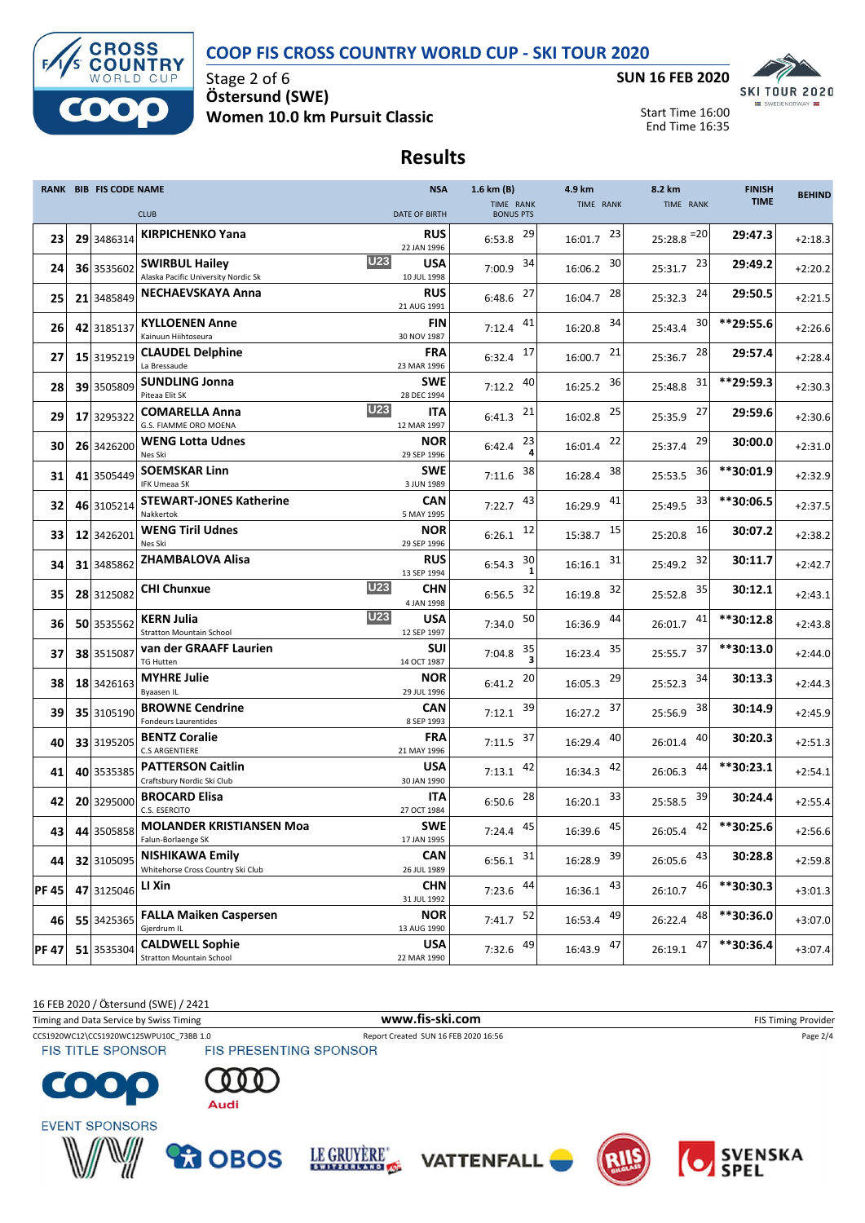### **COOP FIS CROSS COUNTRY WORLD CUP - SKI TOUR 2020**



Stage 2 of 6 **Ö stersund (SWE) Women 10.0 km Pursuit Classic**



Start Time 16:00 End Time 16:35

## **Results**

|              | <b>RANK BIB FIS CODE NAME</b> |                                                              | <b>NSA</b>                              | 1.6 km (B)                    | 4.9 km        | 8.2 km                   | <b>FINISH</b> | <b>BEHIND</b> |
|--------------|-------------------------------|--------------------------------------------------------------|-----------------------------------------|-------------------------------|---------------|--------------------------|---------------|---------------|
|              |                               | <b>CLUB</b>                                                  | <b>DATE OF BIRTH</b>                    | TIME RANK<br><b>BONUS PTS</b> | TIME RANK     | TIME RANK                | <b>TIME</b>   |               |
| 23           | 29 3486314                    | <b>KIRPICHENKO Yana</b>                                      | <b>RUS</b><br>22 JAN 1996               | 29<br>6:53.8                  | 23<br>16:01.7 | $25:28.8$ <sup>=20</sup> | 29:47.3       | $+2:18.3$     |
| 24           | 36 3535602                    | <b>SWIRBUL Hailey</b><br>Alaska Pacific University Nordic Sk | <b>U23</b><br><b>USA</b><br>10 JUL 1998 | 34<br>7:00.9                  | 30<br>16:06.2 | 23<br>25:31.7            | 29:49.2       | $+2:20.2$     |
| 25           | 21 3485849                    | NECHAEVSKAYA Anna                                            | RUS<br>21 AUG 1991                      | 27<br>6:48.6                  | 28<br>16:04.7 | 24<br>25:32.3            | 29:50.5       | $+2:21.5$     |
| 26           | 42 3185137                    | <b>KYLLOENEN Anne</b><br>Kainuun Hiihtoseura                 | <b>FIN</b><br>30 NOV 1987               | 41<br>7:12.4                  | 34<br>16:20.8 | 30<br>25:43.4            | **29:55.6     | $+2:26.6$     |
| 27           | 15 3195219                    | <b>CLAUDEL Delphine</b><br>La Bressaude                      | <b>FRA</b><br>23 MAR 1996               | 17<br>6:32.4                  | 21<br>16:00.7 | 28<br>25:36.7            | 29:57.4       | $+2:28.4$     |
| 28           | 39 3505809                    | <b>SUNDLING Jonna</b><br>Piteaa Elit SK                      | <b>SWE</b><br>28 DEC 1994               | 40<br>7:12.2                  | 36<br>16:25.2 | 31<br>25:48.8            | **29:59.3     | $+2:30.3$     |
| 29           | 17 3295322                    | <b>COMARELLA Anna</b><br>G.S. FIAMME ORO MOENA               | <b>U23</b><br>ITA<br>12 MAR 1997        | 21<br>6:41.3                  | 25<br>16:02.8 | 27<br>25:35.9            | 29:59.6       | $+2:30.6$     |
| 30           | 26 3426200                    | <b>WENG Lotta Udnes</b><br>Nes Ski                           | <b>NOR</b><br>29 SEP 1996               | 23<br>6:42.4                  | 22<br>16:01.4 | 29<br>25:37.4            | 30:00.0       | $+2:31.0$     |
| 31           | 41 3505449                    | <b>SOEMSKAR Linn</b><br><b>IFK Umeaa SK</b>                  | <b>SWE</b><br>3 JUN 1989                | 38<br>7:11.6                  | 38<br>16:28.4 | 36<br>25:53.5            | **30:01.9     | $+2:32.9$     |
| 32           | 46 3105214                    | <b>STEWART-JONES Katherine</b><br>Nakkertok                  | <b>CAN</b><br>5 MAY 1995                | 43<br>7:22.7                  | 41<br>16:29.9 | 33<br>25:49.5            | **30:06.5     | $+2:37.5$     |
| 33           | 12 3426201                    | <b>WENG Tiril Udnes</b><br>Nes Ski                           | <b>NOR</b><br>29 SEP 1996               | 12<br>6:26.1                  | 15<br>15:38.7 | 16<br>25:20.8            | 30:07.2       | $+2:38.2$     |
| 34           | 31 3485862                    | <b>ZHAMBALOVA Alisa</b>                                      | RUS<br>13 SEP 1994                      | 30<br>6:54.3                  | 31<br>16:16.1 | 32<br>25:49.2            | 30:11.7       | $+2:42.7$     |
| 35           | 28 3125082                    | <b>CHI Chunxue</b>                                           | <b>U23</b><br><b>CHN</b><br>4 JAN 1998  | 32<br>6:56.5                  | 32<br>16:19.8 | 35<br>25:52.8            | 30:12.1       | $+2:43.1$     |
| 36           | 50 3535562                    | <b>KERN Julia</b><br><b>Stratton Mountain School</b>         | <b>U23</b><br><b>USA</b><br>12 SEP 1997 | 50<br>7:34.0                  | 44<br>16:36.9 | 41<br>26:01.7            | **30:12.8     | $+2:43.8$     |
| 37           | 38 3515087                    | van der GRAAFF Laurien<br><b>TG Hutten</b>                   | <b>SUI</b><br>14 OCT 1987               | 35<br>7:04.8                  | 35<br>16:23.4 | 37<br>25:55.7            | **30:13.0     | $+2:44.0$     |
| 38           | 18 3426163                    | <b>MYHRE Julie</b><br><b>Byaasen IL</b>                      | <b>NOR</b><br>29 JUL 1996               | 20<br>6:41.2                  | 29<br>16:05.3 | 34<br>25:52.3            | 30:13.3       | $+2:44.3$     |
| 39           | 35 3105190                    | <b>BROWNE Cendrine</b><br>Fondeurs Laurentides               | CAN<br>8 SEP 1993                       | 39<br>7:12.1                  | 37<br>16:27.2 | 38<br>25:56.9            | 30:14.9       | $+2:45.9$     |
| 40           | 33 3195205                    | <b>BENTZ Coralie</b><br><b>C.S ARGENTIERE</b>                | FRA<br>21 MAY 1996                      | 37<br>7:11.5                  | 40<br>16:29.4 | 40<br>26:01.4            | 30:20.3       | $+2:51.3$     |
| 41           | 40 3535385                    | <b>PATTERSON Caitlin</b><br>Craftsbury Nordic Ski Club       | <b>USA</b><br>30 JAN 1990               | 42<br>7:13.1                  | 42<br>16:34.3 | 44<br>26:06.3            | **30:23.1     | $+2:54.1$     |
| 42           | 20 3295000                    | <b>BROCARD Elisa</b><br>C.S. ESERCITO                        | ITA<br>27 OCT 1984                      | 28<br>6:50.6                  | 33<br>16:20.1 | 39<br>25:58.5            | 30:24.4       | $+2:55.4$     |
| 43           | 44 3505858                    | <b>MOLANDER KRISTIANSEN Moa</b><br>Falun-Borlaenge SK        | <b>SWE</b><br>17 JAN 1995               | 45<br>7:24.4                  | 45<br>16:39.6 | 42<br>26:05.4            | **30:25.6     | $+2:56.6$     |
| 44           | 32 3105095                    | <b>NISHIKAWA Emily</b><br>Whitehorse Cross Country Ski Club  | <b>CAN</b><br>26 JUL 1989               | $6:56.1$ 31                   | 16:28.9 39    | $26:05.6$ $43$           | 30:28.8       | $+2:59.8$     |
| <b>PF45</b>  | 47 3125046                    | LI Xin                                                       | <b>CHN</b><br>31 JUL 1992               | $7:23.6$ $44$                 | 43<br>16:36.1 | 46<br>26:10.7            | **30:30.3     | $+3:01.3$     |
| 46           | 55 3425365                    | <b>FALLA Maiken Caspersen</b><br>Gjerdrum IL                 | <b>NOR</b><br>13 AUG 1990               | $7:41.7$ <sup>52</sup>        | 49<br>16:53.4 | 48<br>26:22.4            | **30:36.0     | $+3:07.0$     |
| <b>PF 47</b> | 51 3535304                    | <b>CALDWELL Sophie</b><br><b>Stratton Mountain School</b>    | <b>USA</b><br>22 MAR 1990               | 7:32.6 $^{49}$                | 16:43.9 47    | 47<br>26:19.1            | **30:36.4     | $+3:07.4$     |

16 FEB 2020 / Östersund (SWE) / 2421

Timing and Data Service by Swiss Timing **WWW.fis-Ski.com WWW.fis-Ski.com** FIS Timing Provider CCS1920WC12\CCS1920WC12SWPU10C\_73BB 1.0 Report Created SUN 16 FEB 2020 16:56 Page 2/4<br>
FIS TITLE SPONSOR FIS PRESENTING SPONSOR **FIS TITLE SPONSOR** 













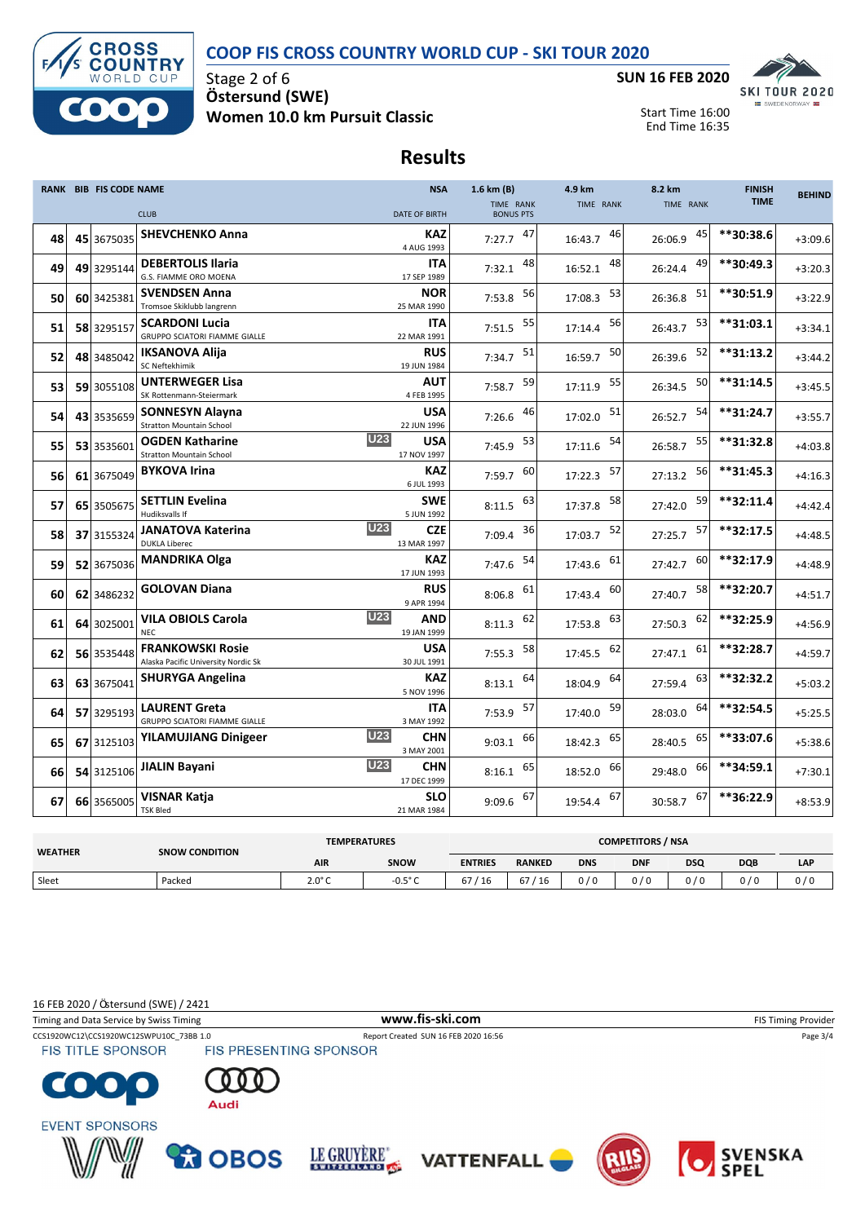### **COOP FIS CROSS COUNTRY WORLD CUP - SKI TOUR 2020**



Stage 2 of 6 **Ö stersund (SWE) Women 10.0 km Pursuit Classic**



Start Time 16:00 End Time 16:35

## **Results**

|    | <b>RANK BIB FIS CODE NAME</b> |                                                                | <b>NSA</b>                              | 1.6 km (B)                    | 4.9 km        | 8.2 km        | <b>FINISH</b> | <b>BEHIND</b> |
|----|-------------------------------|----------------------------------------------------------------|-----------------------------------------|-------------------------------|---------------|---------------|---------------|---------------|
|    |                               | <b>CLUB</b>                                                    | <b>DATE OF BIRTH</b>                    | TIME RANK<br><b>BONUS PTS</b> | TIME RANK     | TIME RANK     | <b>TIME</b>   |               |
| 48 | 45 3675035                    | <b>SHEVCHENKO Anna</b>                                         | <b>KAZ</b><br>4 AUG 1993                | 47<br>7:27.7                  | 46<br>16:43.7 | 45<br>26:06.9 | **30:38.6     | $+3:09.6$     |
| 49 | 49 3295144                    | <b>DEBERTOLIS Ilaria</b><br>G.S. FIAMME ORO MOENA              | ITA<br>17 SEP 1989                      | 48<br>7:32.1                  | 48<br>16:52.1 | 49<br>26:24.4 | **30:49.3     | $+3:20.3$     |
| 50 | 60 3425381                    | <b>SVENDSEN Anna</b><br>Tromsoe Skiklubb langrenn              | <b>NOR</b><br>25 MAR 1990               | 56<br>7:53.8                  | 53<br>17:08.3 | 51<br>26:36.8 | **30:51.9     | $+3:22.9$     |
| 51 | 58 3295157                    | <b>SCARDONI Lucia</b><br><b>GRUPPO SCIATORI FIAMME GIALLE</b>  | <b>ITA</b><br>22 MAR 1991               | 55<br>7:51.5                  | 56<br>17:14.4 | 53<br>26:43.7 | **31:03.1     | $+3:34.1$     |
| 52 | 48 3485042                    | <b>IKSANOVA Alija</b><br>SC Neftekhimik                        | <b>RUS</b><br>19 JUN 1984               | 51<br>7:34.7                  | 50<br>16:59.7 | 52<br>26:39.6 | **31:13.2     | $+3:44.2$     |
| 53 | 59 3055108                    | <b>UNTERWEGER Lisa</b><br>SK Rottenmann-Steiermark             | AUT<br>4 FEB 1995                       | 59<br>7:58.7                  | 55<br>17:11.9 | 50<br>26:34.5 | $**31:14.5$   | $+3:45.5$     |
| 54 | 43 3535659                    | <b>SONNESYN Alayna</b><br><b>Stratton Mountain School</b>      | <b>USA</b><br>22 JUN 1996               | 46<br>7:26.6                  | 51<br>17:02.0 | 54<br>26:52.7 | $***31:24.7$  | $+3:55.7$     |
| 55 | 53 3535601                    | <b>OGDEN Katharine</b><br><b>Stratton Mountain School</b>      | U23<br><b>USA</b><br>17 NOV 1997        | 53<br>7:45.9                  | 54<br>17:11.6 | 55<br>26:58.7 | **31:32.8     | $+4:03.8$     |
| 56 | 61 3675049                    | <b>BYKOVA Irina</b>                                            | <b>KAZ</b><br>6 JUL 1993                | 60<br>7:59.7                  | 57<br>17:22.3 | 56<br>27:13.2 | **31:45.3     | $+4:16.3$     |
| 57 | 65 3505675                    | <b>SETTLIN Evelina</b><br>Hudiksvalls If                       | <b>SWE</b><br>5 JUN 1992                | 63<br>8:11.5                  | 58<br>17:37.8 | 59<br>27:42.0 | **32:11.4     | $+4:42.4$     |
| 58 | 37 3155324                    | <b>JANATOVA Katerina</b><br><b>DUKLA Liberec</b>               | <b>U23</b><br>CZE<br>13 MAR 1997        | 36<br>7:09.4                  | 52<br>17:03.7 | 57<br>27:25.7 | **32:17.5     | $+4:48.5$     |
| 59 | 52 3675036                    | <b>MANDRIKA Olga</b>                                           | <b>KAZ</b><br>17 JUN 1993               | 54<br>7:47.6                  | 61<br>17:43.6 | 60<br>27:42.7 | **32:17.9     | $+4:48.9$     |
| 60 | 62 3486232                    | <b>GOLOVAN Diana</b>                                           | RUS<br>9 APR 1994                       | 61<br>8:06.8                  | 60<br>17:43.4 | 58<br>27:40.7 | **32:20.7     | $+4:51.7$     |
| 61 | 64 3025001                    | <b>VILA OBIOLS Carola</b><br><b>NEC</b>                        | <b>U23</b><br>AND<br>19 JAN 1999        | 62<br>8:11.3                  | 63<br>17:53.8 | 62<br>27:50.3 | **32:25.9     | $+4:56.9$     |
| 62 | 56 3535448                    | <b>FRANKOWSKI Rosie</b><br>Alaska Pacific University Nordic Sk | <b>USA</b><br>30 JUL 1991               | 58<br>7:55.3                  | 62<br>17:45.5 | 61<br>27:47.1 | **32:28.7     | $+4:59.7$     |
| 63 | 63 3675041                    | <b>SHURYGA Angelina</b>                                        | <b>KAZ</b><br>5 NOV 1996                | 64<br>8:13.1                  | 64<br>18:04.9 | 63<br>27:59.4 | **32:32.2     | $+5:03.2$     |
| 64 | 57 3295193                    | <b>LAURENT Greta</b><br><b>GRUPPO SCIATORI FIAMME GIALLE</b>   | <b>ITA</b><br>3 MAY 1992                | 57<br>7:53.9                  | 59<br>17:40.0 | 64<br>28:03.0 | **32:54.5     | $+5:25.5$     |
| 65 | 67 3125103                    | <b>YILAMUJIANG Dinigeer</b>                                    | <b>U23</b><br><b>CHN</b><br>3 MAY 2001  | 66<br>9:03.1                  | 65<br>18:42.3 | 65<br>28:40.5 | **33:07.6     | $+5:38.6$     |
| 66 | 54 3125106                    | <b>JIALIN Bayani</b>                                           | <b>U23</b><br><b>CHN</b><br>17 DEC 1999 | 65<br>8:16.1                  | 66<br>18:52.0 | 66<br>29:48.0 | **34:59.1     | $+7:30.1$     |
| 67 | 66 3565005                    | <b>VISNAR Katja</b><br><b>TSK Bled</b>                         | <b>SLO</b><br>21 MAR 1984               | 67<br>9:09.6                  | 67<br>19:54.4 | 67<br>30:58.7 | **36:22.9     | $+8:53.9$     |

| <b>WEATHER</b> | <b>SNOW CONDITION</b> | <b>TEMPERATURES</b> |              | <b>COMPETITORS / NSA</b> |               |            |            |            |            |     |
|----------------|-----------------------|---------------------|--------------|--------------------------|---------------|------------|------------|------------|------------|-----|
|                |                       | <b>AIR</b>          | <b>SNOW</b>  | <b>ENTRIES</b>           | <b>RANKED</b> | <b>DNS</b> | <b>DNF</b> | <b>DSQ</b> | <b>DQB</b> | LAP |
| Sleet          | Packed                | $2.0^\circ C$       | -0.5° $\cap$ | $^{\prime}$ 16<br>67     | 67<br>/16     | 0/0        | 0/0        | 0/0        | 0 / C      |     |

16 FEB 2020 / Östersund (SWE) / 2421

CCS1920WC12\CCS1920WC12SWPU10C\_73BB 1.0 Report Created SUN 16 FEB 2020 16:56 Page 3/4<br>
FIS TITLE SPONSOR FIS PRESENTING SPONSOR Timing and Data Service by Swiss Timing **WWW.fis-Ski.com WWW.fis-Ski.com** FIS Timing Provider

**FIS TITLE SPONSOR**